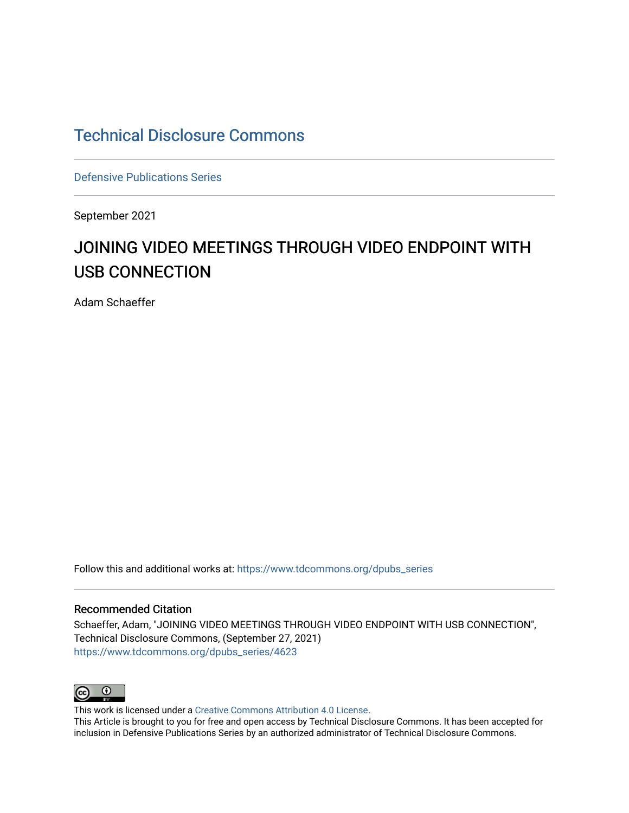## [Technical Disclosure Commons](https://www.tdcommons.org/)

[Defensive Publications Series](https://www.tdcommons.org/dpubs_series)

September 2021

# JOINING VIDEO MEETINGS THROUGH VIDEO ENDPOINT WITH USB CONNECTION

Adam Schaeffer

Follow this and additional works at: [https://www.tdcommons.org/dpubs\\_series](https://www.tdcommons.org/dpubs_series?utm_source=www.tdcommons.org%2Fdpubs_series%2F4623&utm_medium=PDF&utm_campaign=PDFCoverPages) 

#### Recommended Citation

Schaeffer, Adam, "JOINING VIDEO MEETINGS THROUGH VIDEO ENDPOINT WITH USB CONNECTION", Technical Disclosure Commons, (September 27, 2021) [https://www.tdcommons.org/dpubs\\_series/4623](https://www.tdcommons.org/dpubs_series/4623?utm_source=www.tdcommons.org%2Fdpubs_series%2F4623&utm_medium=PDF&utm_campaign=PDFCoverPages)



This work is licensed under a [Creative Commons Attribution 4.0 License](http://creativecommons.org/licenses/by/4.0/deed.en_US).

This Article is brought to you for free and open access by Technical Disclosure Commons. It has been accepted for inclusion in Defensive Publications Series by an authorized administrator of Technical Disclosure Commons.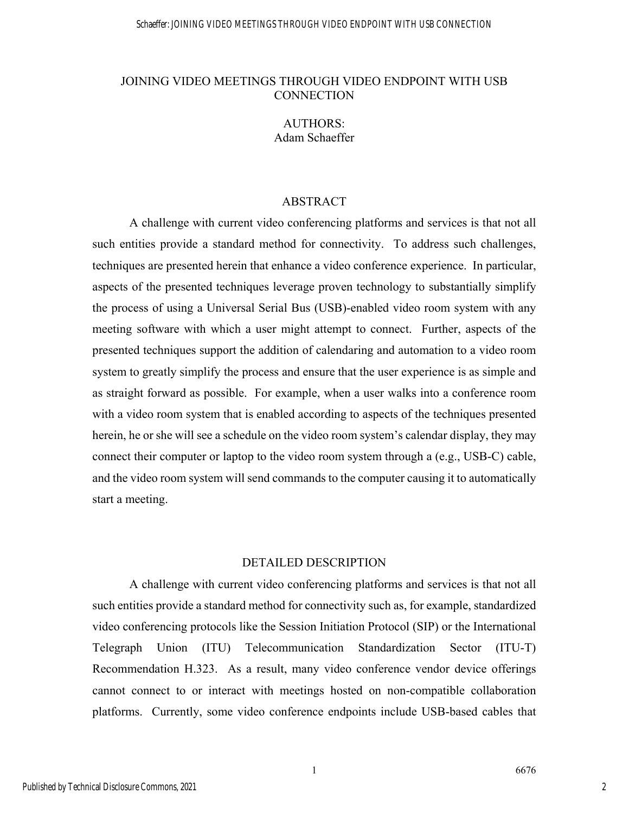#### JOINING VIDEO MEETINGS THROUGH VIDEO ENDPOINT WITH USB **CONNECTION**

### AUTHORS: Adam Schaeffer

#### ABSTRACT

A challenge with current video conferencing platforms and services is that not all such entities provide a standard method for connectivity. To address such challenges, techniques are presented herein that enhance a video conference experience. In particular, aspects of the presented techniques leverage proven technology to substantially simplify the process of using a Universal Serial Bus (USB)-enabled video room system with any meeting software with which a user might attempt to connect. Further, aspects of the presented techniques support the addition of calendaring and automation to a video room system to greatly simplify the process and ensure that the user experience is as simple and as straight forward as possible. For example, when a user walks into a conference room with a video room system that is enabled according to aspects of the techniques presented herein, he or she will see a schedule on the video room system's calendar display, they may connect their computer or laptop to the video room system through a (e.g., USB-C) cable, and the video room system will send commands to the computer causing it to automatically start a meeting.

#### DETAILED DESCRIPTION

A challenge with current video conferencing platforms and services is that not all such entities provide a standard method for connectivity such as, for example, standardized video conferencing protocols like the Session Initiation Protocol (SIP) or the International Telegraph Union (ITU) Telecommunication Standardization Sector (ITU-T) Recommendation H.323. As a result, many video conference vendor device offerings cannot connect to or interact with meetings hosted on non-compatible collaboration platforms. Currently, some video conference endpoints include USB-based cables that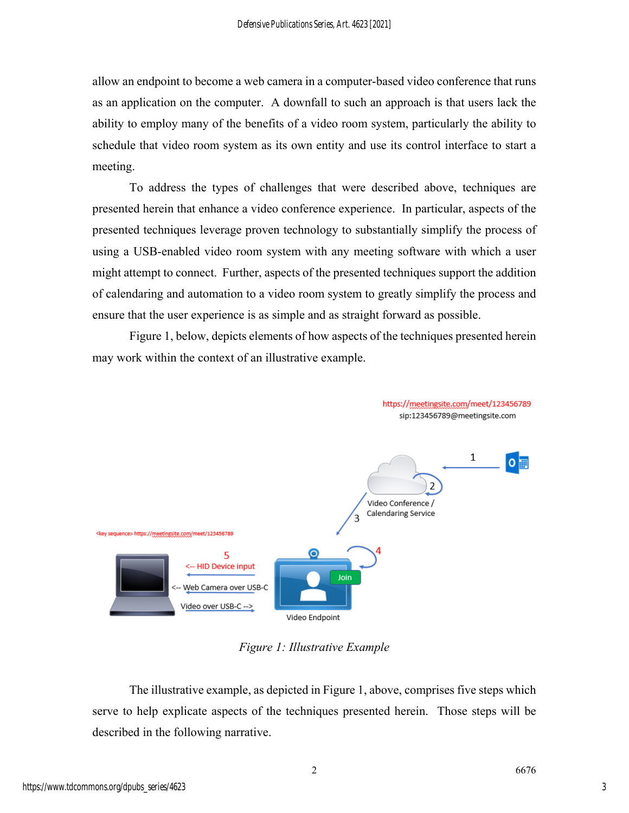allow an endpoint to become a web camera in a computer-based video conference that runs as an application on the computer. A downfall to such an approach is that users lack the ability to employ many of the benefits of a video room system, particularly the ability to schedule that video room system as its own entity and use its control interface to start a meeting.

To address the types of challenges that were described above, techniques are presented herein that enhance a video conference experience. In particular, aspects of the presented techniques leverage proven technology to substantially simplify the process of using a USB-enabled video room system with any meeting software with which a user might attempt to connect. Further, aspects of the presented techniques support the addition of calendaring and automation to a video room system to greatly simplify the process and ensure that the user experience is as simple and as straight forward as possible.

Figure 1, below, depicts elements of how aspects of the techniques presented herein may work within the context of an illustrative example.



*Figure 1: Illustrative Example* 

The illustrative example, as depicted in Figure 1, above, comprises five steps which serve to help explicate aspects of the techniques presented herein. Those steps will be described in the following narrative.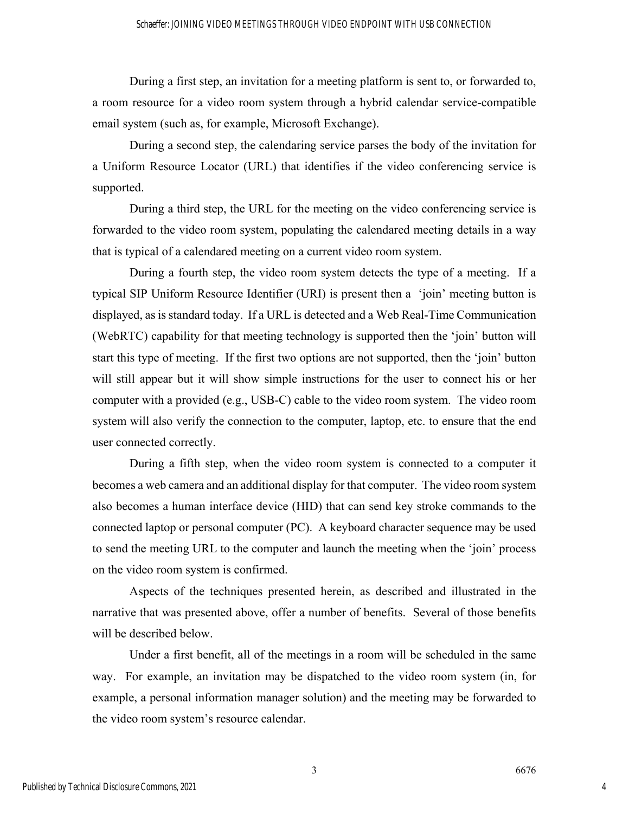During a first step, an invitation for a meeting platform is sent to, or forwarded to, a room resource for a video room system through a hybrid calendar service-compatible email system (such as, for example, Microsoft Exchange).

During a second step, the calendaring service parses the body of the invitation for a Uniform Resource Locator (URL) that identifies if the video conferencing service is supported.

During a third step, the URL for the meeting on the video conferencing service is forwarded to the video room system, populating the calendared meeting details in a way that is typical of a calendared meeting on a current video room system.

During a fourth step, the video room system detects the type of a meeting. If a typical SIP Uniform Resource Identifier (URI) is present then a 'join' meeting button is displayed, as is standard today. If a URL is detected and a Web Real-Time Communication (WebRTC) capability for that meeting technology is supported then the 'join' button will start this type of meeting. If the first two options are not supported, then the 'join' button will still appear but it will show simple instructions for the user to connect his or her computer with a provided (e.g., USB-C) cable to the video room system. The video room system will also verify the connection to the computer, laptop, etc. to ensure that the end user connected correctly.

During a fifth step, when the video room system is connected to a computer it becomes a web camera and an additional display for that computer. The video room system also becomes a human interface device (HID) that can send key stroke commands to the connected laptop or personal computer (PC). A keyboard character sequence may be used to send the meeting URL to the computer and launch the meeting when the 'join' process on the video room system is confirmed.

Aspects of the techniques presented herein, as described and illustrated in the narrative that was presented above, offer a number of benefits. Several of those benefits will be described below.

Under a first benefit, all of the meetings in a room will be scheduled in the same way. For example, an invitation may be dispatched to the video room system (in, for example, a personal information manager solution) and the meeting may be forwarded to the video room system's resource calendar.